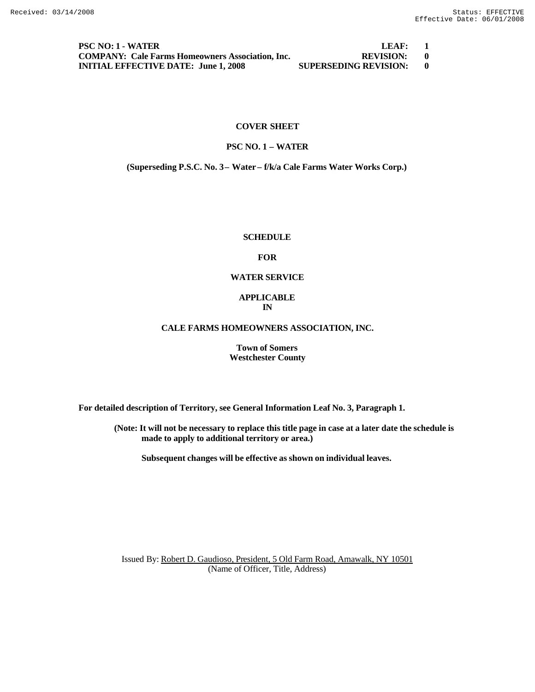**PSC NO: 1 - WATER LEAF: 1 COMPANY: Cale Farms Homeowners Association, Inc. REVISION: 0 INITIAL EFFECTIVE DATE: June 1, 2008 SUPERSEDING REVISION: 0**

#### **COVER SHEET**

## **PSC NO. 1 – WATER**

**(Superseding P.S.C. No. 3 – Water – f/k/a Cale Farms Water Works Corp.)**

#### **SCHEDULE**

#### **FOR**

## **WATER SERVICE**

#### **APPLICABLE IN**

#### **CALE FARMS HOMEOWNERS ASSOCIATION, INC.**

**Town of Somers Westchester County**

**For detailed description of Territory, see General Information Leaf No. 3, Paragraph 1.**

**(Note: It will not be necessary to replace this title page in case at a later date the schedule is made to apply to additional territory or area.)**

**Subsequent changes will be effective as shown on individual leaves.**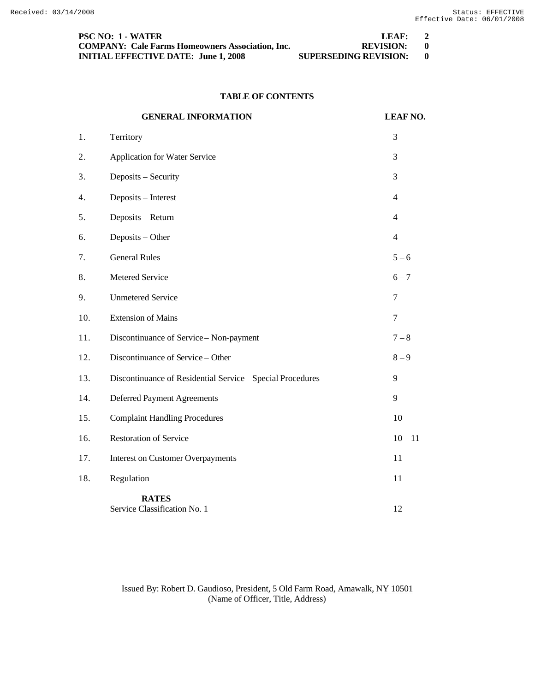| <b>PSC NO: 1 - WATER</b>                                | LEAF:                        | $\overline{2}$ |
|---------------------------------------------------------|------------------------------|----------------|
| <b>COMPANY: Cale Farms Homeowners Association, Inc.</b> | REVISION: 0                  |                |
| <b>INITIAL EFFECTIVE DATE: June 1, 2008</b>             | <b>SUPERSEDING REVISION:</b> |                |

# **TABLE OF CONTENTS**

|     | <b>GENERAL INFORMATION</b>                                 | <b>LEAF NO.</b> |
|-----|------------------------------------------------------------|-----------------|
| 1.  | Territory                                                  | 3               |
| 2.  | Application for Water Service                              | 3               |
| 3.  | Deposits - Security                                        | 3               |
| 4.  | Deposits - Interest                                        | $\overline{4}$  |
| 5.  | Deposits - Return                                          | $\overline{4}$  |
| 6.  | Deposits - Other                                           | $\overline{4}$  |
| 7.  | <b>General Rules</b>                                       | $5 - 6$         |
| 8.  | Metered Service                                            | $6 - 7$         |
| 9.  | <b>Unmetered Service</b>                                   | 7               |
| 10. | <b>Extension of Mains</b>                                  | $\tau$          |
| 11. | Discontinuance of Service - Non-payment                    | $7 - 8$         |
| 12. | Discontinuance of Service - Other                          | $8 - 9$         |
| 13. | Discontinuance of Residential Service - Special Procedures | 9               |
| 14. | <b>Deferred Payment Agreements</b>                         | 9               |
| 15. | <b>Complaint Handling Procedures</b>                       | 10              |
| 16. | <b>Restoration of Service</b>                              | $10 - 11$       |
| 17. | <b>Interest on Customer Overpayments</b>                   | 11              |
| 18. | Regulation                                                 | 11              |
|     | <b>RATES</b><br>Service Classification No. 1               | 12              |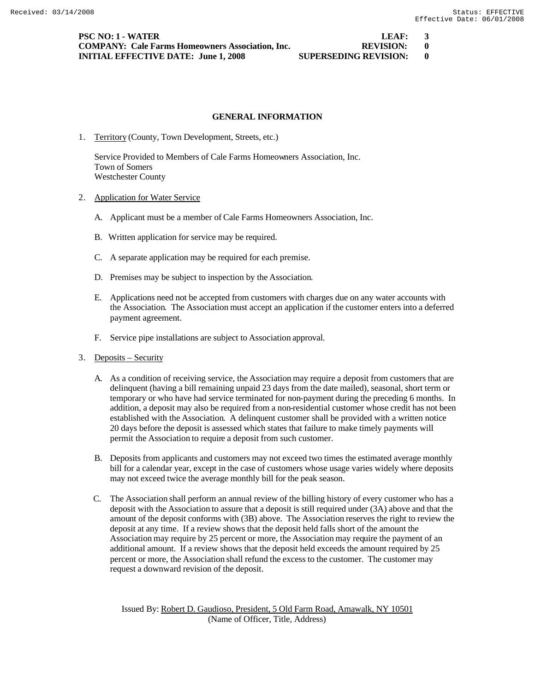**PSC NO: 1 - WATER LEAF: 3 COMPANY: Cale Farms Homeowners Association, Inc. REVISION: 0 INITIAL EFFECTIVE DATE: June 1, 2008 SUPERSEDING REVISION: 0**

## **GENERAL INFORMATION**

1. Territory (County, Town Development, Streets, etc.)

Service Provided to Members of Cale Farms Homeowners Association, Inc. Town of Somers Westchester County

- 2. Application for Water Service
	- A. Applicant must be a member of Cale Farms Homeowners Association, Inc.
	- B. Written application for service may be required.
	- C. A separate application may be required for each premise.
	- D. Premises may be subject to inspection by the Association.
	- E. Applications need not be accepted from customers with charges due on any water accounts with the Association. The Association must accept an application if the customer enters into a deferred payment agreement.
	- F. Service pipe installations are subject to Association approval.
- 3. Deposits Security
	- A. As a condition of receiving service, the Association may require a deposit from customers that are delinquent (having a bill remaining unpaid 23 days from the date mailed), seasonal, short term or temporary or who have had service terminated for non-payment during the preceding 6 months. In addition, a deposit may also be required from a non-residential customer whose credit has not been established with the Association. A delinquent customer shall be provided with a written notice 20 days before the deposit is assessed which states that failure to make timely payments will permit the Association to require a deposit from such customer.
	- B. Deposits from applicants and customers may not exceed two times the estimated average monthly bill for a calendar year, except in the case of customers whose usage varies widely where deposits may not exceed twice the average monthly bill for the peak season.
	- C. The Association shall perform an annual review of the billing history of every customer who has a deposit with the Association to assure that a deposit is still required under (3A) above and that the amount of the deposit conforms with (3B) above. The Association reserves the right to review the deposit at any time. If a review shows that the deposit held falls short of the amount the Association may require by 25 percent or more, the Association may require the payment of an additional amount. If a review shows that the deposit held exceeds the amount required by 25 percent or more, the Association shall refund the excess to the customer. The customer may request a downward revision of the deposit.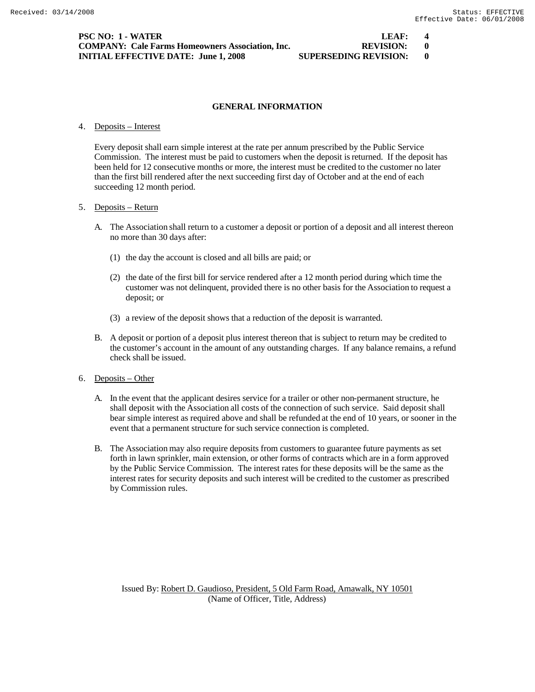## 4. Deposits – Interest

Every deposit shall earn simple interest at the rate per annum prescribed by the Public Service Commission. The interest must be paid to customers when the deposit is returned. If the deposit has been held for 12 consecutive months or more, the interest must be credited to the customer no later than the first bill rendered after the next succeeding first day of October and at the end of each succeeding 12 month period.

# 5. Deposits – Return

- A. The Association shall return to a customer a deposit or portion of a deposit and all interest thereon no more than 30 days after:
	- (1) the day the account is closed and all bills are paid; or
	- (2) the date of the first bill for service rendered after a 12 month period during which time the customer was not delinquent, provided there is no other basis for the Association to request a deposit; or
	- (3) a review of the deposit shows that a reduction of the deposit is warranted.
- B. A deposit or portion of a deposit plus interest thereon that is subject to return may be credited to the customer's account in the amount of any outstanding charges. If any balance remains, a refund check shall be issued.

#### 6. Deposits – Other

- A. In the event that the applicant desires service for a trailer or other non-permanent structure, he shall deposit with the Association all costs of the connection of such service. Said deposit shall bear simple interest as required above and shall be refunded at the end of 10 years, or sooner in the event that a permanent structure for such service connection is completed.
- B. The Association may also require deposits from customers to guarantee future payments as set forth in lawn sprinkler, main extension, or other forms of contracts which are in a form approved by the Public Service Commission. The interest rates for these deposits will be the same as the interest rates for security deposits and such interest will be credited to the customer as prescribed by Commission rules.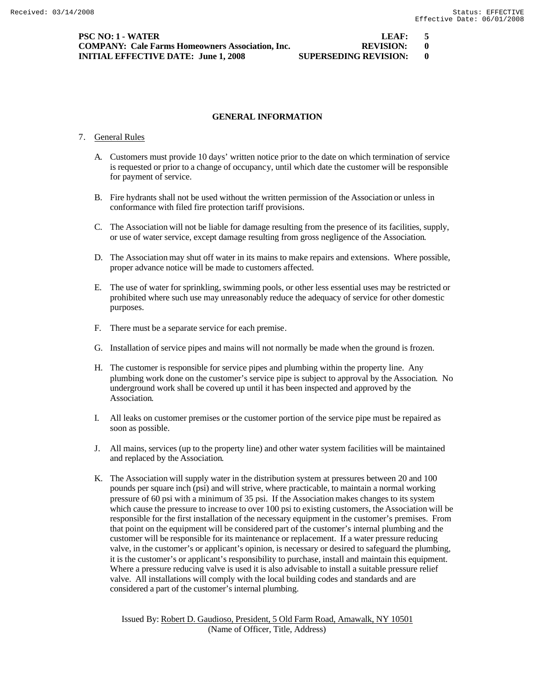**PSC NO: 1 - WATER LEAF: 5 COMPANY: Cale Farms Homeowners Association, Inc. REVISION: 0 INITIAL EFFECTIVE DATE: June 1, 2008 SUPERSEDING REVISION: 0**

## **GENERAL INFORMATION**

#### 7. General Rules

- A. Customers must provide 10 days' written notice prior to the date on which termination of service is requested or prior to a change of occupancy, until which date the customer will be responsible for payment of service.
- B. Fire hydrants shall not be used without the written permission of the Association or unless in conformance with filed fire protection tariff provisions.
- C. The Association will not be liable for damage resulting from the presence of its facilities, supply, or use of water service, except damage resulting from gross negligence of the Association.
- D. The Association may shut off water in its mains to make repairs and extensions. Where possible, proper advance notice will be made to customers affected.
- E. The use of water for sprinkling, swimming pools, or other less essential uses may be restricted or prohibited where such use may unreasonably reduce the adequacy of service for other domestic purposes.
- F. There must be a separate service for each premise.
- G. Installation of service pipes and mains will not normally be made when the ground is frozen.
- H. The customer is responsible for service pipes and plumbing within the property line. Any plumbing work done on the customer's service pipe is subject to approval by the Association. No underground work shall be covered up until it has been inspected and approved by the Association.
- I. All leaks on customer premises or the customer portion of the service pipe must be repaired as soon as possible.
- J. All mains, services (up to the property line) and other water system facilities will be maintained and replaced by the Association.
- K. The Association will supply water in the distribution system at pressures between 20 and 100 pounds per square inch (psi) and will strive, where practicable, to maintain a normal working pressure of 60 psi with a minimum of 35 psi. If the Association makes changes to its system which cause the pressure to increase to over 100 psi to existing customers, the Association will be responsible for the first installation of the necessary equipment in the customer's premises. From that point on the equipment will be considered part of the customer's internal plumbing and the customer will be responsible for its maintenance or replacement. If a water pressure reducing valve, in the customer's or applicant's opinion, is necessary or desired to safeguard the plumbing, it is the customer's or applicant's responsibility to purchase, install and maintain this equipment. Where a pressure reducing valve is used it is also advisable to install a suitable pressure relief valve. All installations will comply with the local building codes and standards and are considered a part of the customer's internal plumbing.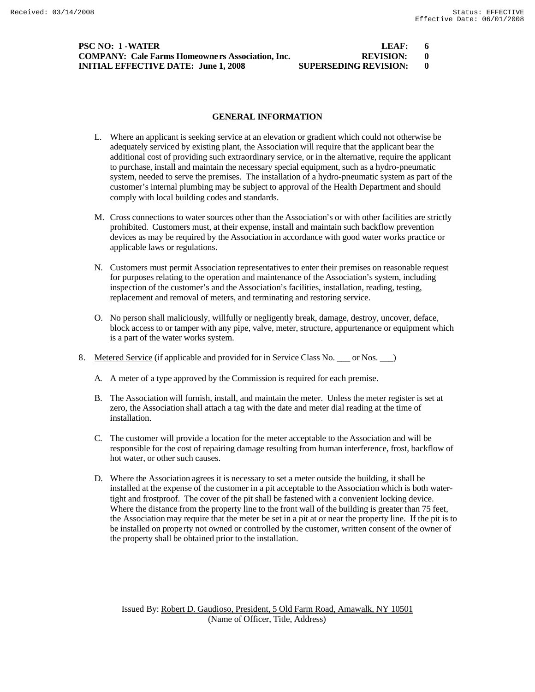# **PSC NO: 1 -WATER COMPANY: Cale Farms Homeowners Association, Inc. INITIAL EFFECTIVE DATE: June 1, 2008 SUPERSED**

| LLAF:                        |  |
|------------------------------|--|
| <b>REVISION:</b>             |  |
| <b>IIPERSEDING REVISION·</b> |  |

## **GENERAL INFORMATION**

- L. Where an applicant is seeking service at an elevation or gradient which could not otherwise be adequately serviced by existing plant, the Association will require that the applicant bear the additional cost of providing such extraordinary service, or in the alternative, require the applicant to purchase, install and maintain the necessary special equipment, such as a hydro-pneumatic system, needed to serve the premises. The installation of a hydro-pneumatic system as part of the customer's internal plumbing may be subject to approval of the Health Department and should comply with local building codes and standards.
- M. Cross connections to water sources other than the Association's or with other facilities are strictly prohibited. Customers must, at their expense, install and maintain such backflow prevention devices as may be required by the Association in accordance with good water works practice or applicable laws or regulations.
- N. Customers must permit Association representatives to enter their premises on reasonable request for purposes relating to the operation and maintenance of the Association's system, including inspection of the customer's and the Association's facilities, installation, reading, testing, replacement and removal of meters, and terminating and restoring service.
- O. No person shall maliciously, willfully or negligently break, damage, destroy, uncover, deface, block access to or tamper with any pipe, valve, meter, structure, appurtenance or equipment which is a part of the water works system.
- 8. Metered Service (if applicable and provided for in Service Class No. \_\_\_ or Nos. \_\_ )
	- A. A meter of a type approved by the Commission is required for each premise.
	- B. The Association will furnish, install, and maintain the meter. Unless the meter register is set at zero, the Association shall attach a tag with the date and meter dial reading at the time of installation.
	- C. The customer will provide a location for the meter acceptable to the Association and will be responsible for the cost of repairing damage resulting from human interference, frost, backflow of hot water, or other such causes.
	- D. Where the Association agrees it is necessary to set a meter outside the building, it shall be installed at the expense of the customer in a pit acceptable to the Association which is both watertight and frostproof. The cover of the pit shall be fastened with a convenient locking device. Where the distance from the property line to the front wall of the building is greater than 75 feet, the Association may require that the meter be set in a pit at or near the property line. If the pit is to be installed on property not owned or controlled by the customer, written consent of the owner of the property shall be obtained prior to the installation.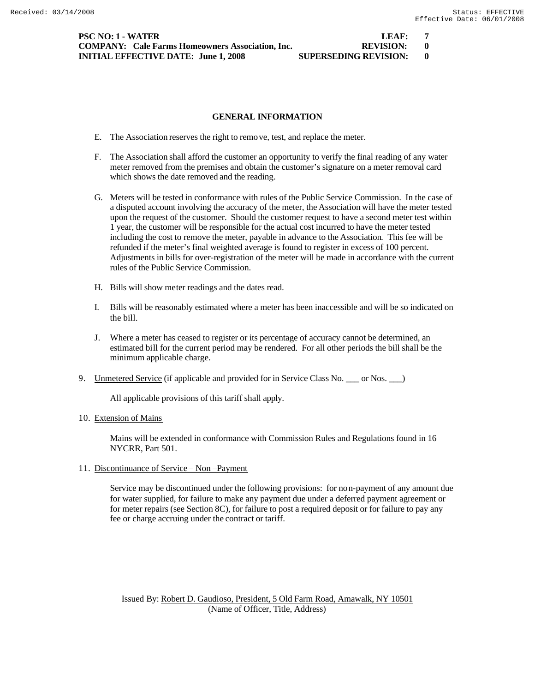| PSC NO: 1 - WATER                                       | LEAF:                        |  |
|---------------------------------------------------------|------------------------------|--|
| <b>COMPANY:</b> Cale Farms Homeowners Association. Inc. | REVISION: 0                  |  |
| <b>INITIAL EFFECTIVE DATE: June 1, 2008</b>             | <b>SUPERSEDING REVISION:</b> |  |

# **IREVISION:** 0

# **GENERAL INFORMATION**

- E. The Association reserves the right to remove, test, and replace the meter.
- F. The Association shall afford the customer an opportunity to verify the final reading of any water meter removed from the premises and obtain the customer's signature on a meter removal card which shows the date removed and the reading.
- G. Meters will be tested in conformance with rules of the Public Service Commission. In the case of a disputed account involving the accuracy of the meter, the Association will have the meter tested upon the request of the customer. Should the customer request to have a second meter test within 1 year, the customer will be responsible for the actual cost incurred to have the meter tested including the cost to remove the meter, payable in advance to the Association. This fee will be refunded if the meter's final weighted average is found to register in excess of 100 percent. Adjustments in bills for over-registration of the meter will be made in accordance with the current rules of the Public Service Commission.
- H. Bills will show meter readings and the dates read.
- I. Bills will be reasonably estimated where a meter has been inaccessible and will be so indicated on the bill.
- J. Where a meter has ceased to register or its percentage of accuracy cannot be determined, an estimated bill for the current period may be rendered. For all other periods the bill shall be the minimum applicable charge.
- 9. Unmetered Service (if applicable and provided for in Service Class No. \_\_\_ or Nos. \_\_)

All applicable provisions of this tariff shall apply.

10. Extension of Mains

Mains will be extended in conformance with Commission Rules and Regulations found in 16 NYCRR, Part 501.

11. Discontinuance of Service – Non –Payment

Service may be discontinued under the following provisions: for non-payment of any amount due for water supplied, for failure to make any payment due under a deferred payment agreement or for meter repairs (see Section 8C), for failure to post a required deposit or for failure to pay any fee or charge accruing under the contract or tariff.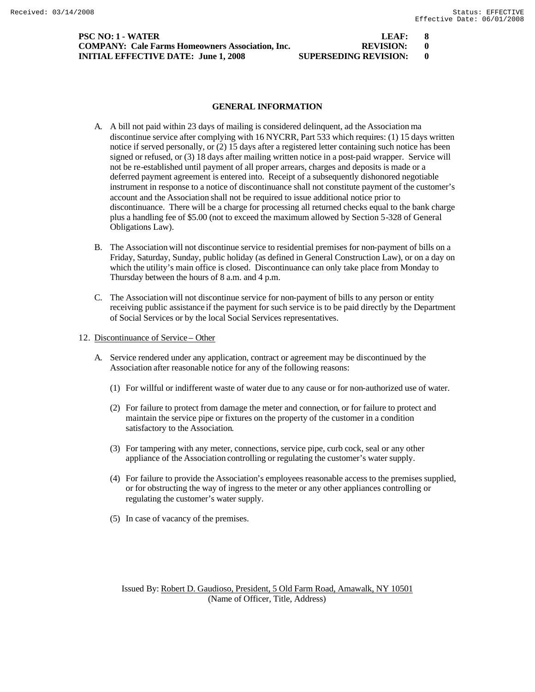| PSC NO: 1 - WATER                                       | LEAF:                        |  |
|---------------------------------------------------------|------------------------------|--|
| <b>COMPANY: Cale Farms Homeowners Association, Inc.</b> | REVISION: 0                  |  |
| <b>INITIAL EFFECTIVE DATE: June 1, 2008</b>             | <b>SUPERSEDING REVISION:</b> |  |

| LEAF:                        |  |
|------------------------------|--|
| <b>REVISION:</b>             |  |
| <b>SUPERSEDING REVISION:</b> |  |

- A. A bill not paid within 23 days of mailing is considered delinquent, ad the Association ma discontinue service after complying with 16 NYCRR, Part 533 which requires: (1) 15 days written notice if served personally, or (2) 15 days after a registered letter containing such notice has been signed or refused, or (3) 18 days after mailing written notice in a post-paid wrapper. Service will not be re-established until payment of all proper arrears, charges and deposits is made or a deferred payment agreement is entered into. Receipt of a subsequently dishonored negotiable instrument in response to a notice of discontinuance shall not constitute payment of the customer's account and the Association shall not be required to issue additional notice prior to discontinuance. There will be a charge for processing all returned checks equal to the bank charge plus a handling fee of \$5.00 (not to exceed the maximum allowed by Section 5-328 of General Obligations Law).
- B. The Association will not discontinue service to residential premises for non-payment of bills on a Friday, Saturday, Sunday, public holiday (as defined in General Construction Law), or on a day on which the utility's main office is closed. Discontinuance can only take place from Monday to Thursday between the hours of 8 a.m. and 4 p.m.
- C. The Association will not discontinue service for non-payment of bills to any person or entity receiving public assistance if the payment for such service is to be paid directly by the Department of Social Services or by the local Social Services representatives.
- 12. Discontinuance of Service Other
	- A. Service rendered under any application, contract or agreement may be discontinued by the Association after reasonable notice for any of the following reasons:
		- (1) For willful or indifferent waste of water due to any cause or for non-authorized use of water.
		- (2) For failure to protect from damage the meter and connection, or for failure to protect and maintain the service pipe or fixtures on the property of the customer in a condition satisfactory to the Association.
		- (3) For tampering with any meter, connections, service pipe, curb cock, seal or any other appliance of the Association controlling or regulating the customer's water supply.
		- (4) For failure to provide the Association's employees reasonable access to the premises supplied, or for obstructing the way of ingress to the meter or any other appliances controlling or regulating the customer's water supply.
		- (5) In case of vacancy of the premises.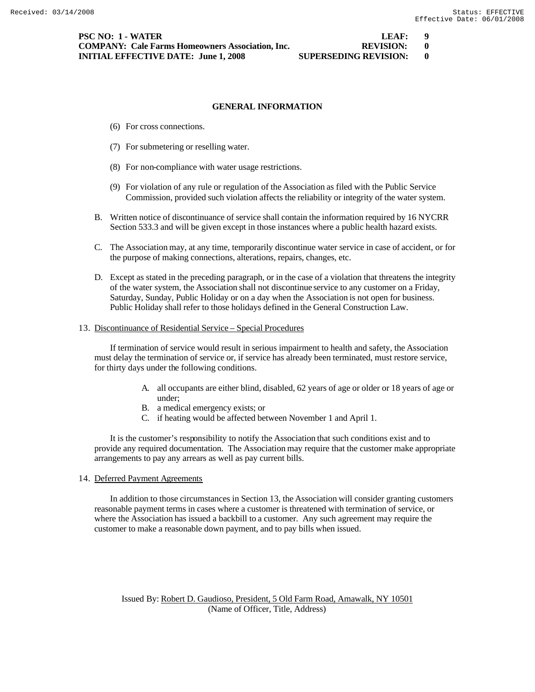- (6) For cross connections.
- (7) For submetering or reselling water.
- (8) For non-compliance with water usage restrictions.
- (9) For violation of any rule or regulation of the Association as filed with the Public Service Commission, provided such violation affects the reliability or integrity of the water system.
- B. Written notice of discontinuance of service shall contain the information required by 16 NYCRR Section 533.3 and will be given except in those instances where a public health hazard exists.
- C. The Association may, at any time, temporarily discontinue water service in case of accident, or for the purpose of making connections, alterations, repairs, changes, etc.
- D. Except as stated in the preceding paragraph, or in the case of a violation that threatens the integrity of the water system, the Association shall not discontinue service to any customer on a Friday, Saturday, Sunday, Public Holiday or on a day when the Association is not open for business. Public Holiday shall refer to those holidays defined in the General Construction Law.

#### 13. Discontinuance of Residential Service – Special Procedures

If termination of service would result in serious impairment to health and safety, the Association must delay the termination of service or, if service has already been terminated, must restore service, for thirty days under the following conditions.

- A. all occupants are either blind, disabled, 62 years of age or older or 18 years of age or under;
- B. a medical emergency exists; or
- C. if heating would be affected between November 1 and April 1.

It is the customer's responsibility to notify the Association that such conditions exist and to provide any required documentation. The Association may require that the customer make appropriate arrangements to pay any arrears as well as pay current bills.

14. Deferred Payment Agreements

In addition to those circumstances in Section 13, the Association will consider granting customers reasonable payment terms in cases where a customer is threatened with termination of service, or where the Association has issued a backbill to a customer. Any such agreement may require the customer to make a reasonable down payment, and to pay bills when issued.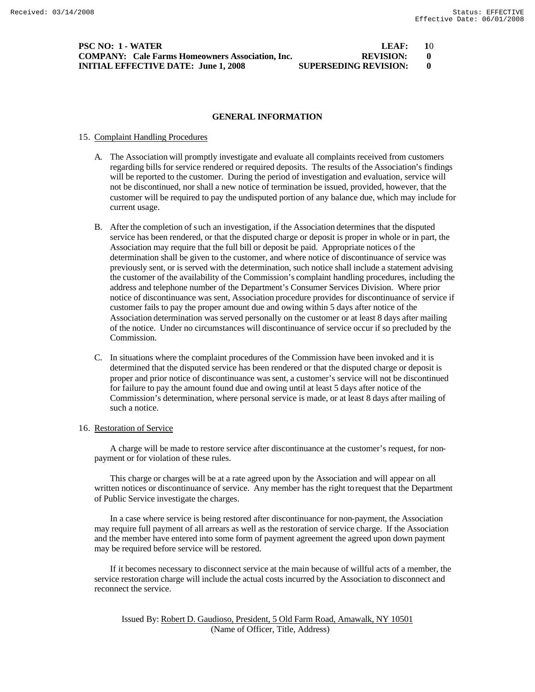| PSC NO: 1 - WATER                                       | LFAF:                        | - 10 |
|---------------------------------------------------------|------------------------------|------|
| <b>COMPANY:</b> Cale Farms Homeowners Association, Inc. | REVISION:                    |      |
| <b>INITIAL EFFECTIVE DATE: June 1, 2008</b>             | <b>SUPERSEDING REVISION:</b> |      |

#### 15. Complaint Handling Procedures

- A. The Association will promptly investigate and evaluate all complaints received from customers regarding bills for service rendered or required deposits. The results of the Association's findings will be reported to the customer. During the period of investigation and evaluation, service will not be discontinued, nor shall a new notice of termination be issued, provided, however, that the customer will be required to pay the undisputed portion of any balance due, which may include for current usage.
- B. After the completion of such an investigation, if the Association determines that the disputed service has been rendered, or that the disputed charge or deposit is proper in whole or in part, the Association may require that the full bill or deposit be paid. Appropriate notices of the determination shall be given to the customer, and where notice of discontinuance of service was previously sent, or is served with the determination, such notice shall include a statement advising the customer of the availability of the Commission's complaint handling procedures, including the address and telephone number of the Department's Consumer Services Division. Where prior notice of discontinuance was sent, Association procedure provides for discontinuance of service if customer fails to pay the proper amount due and owing within 5 days after notice of the Association determination was served personally on the customer or at least 8 days after mailing of the notice. Under no circumstances will discontinuance of service occur if so precluded by the Commission.
- C. In situations where the complaint procedures of the Commission have been invoked and it is determined that the disputed service has been rendered or that the disputed charge or deposit is proper and prior notice of discontinuance was sent, a customer's service will not be discontinued for failure to pay the amount found due and owing until at least 5 days after notice of the Commission's determination, where personal service is made, or at least 8 days after mailing of such a notice.

#### 16. Restoration of Service

A charge will be made to restore service after discontinuance at the customer's request, for nonpayment or for violation of these rules.

This charge or charges will be at a rate agreed upon by the Association and will appear on all written notices or discontinuance of service. Any member has the right to request that the Department of Public Service investigate the charges.

In a case where service is being restored after discontinuance for non-payment, the Association may require full payment of all arrears as well as the restoration of service charge. If the Association and the member have entered into some form of payment agreement the agreed upon down payment may be required before service will be restored.

If it becomes necessary to disconnect service at the main because of willful acts of a member, the service restoration charge will include the actual costs incurred by the Association to disconnect and reconnect the service.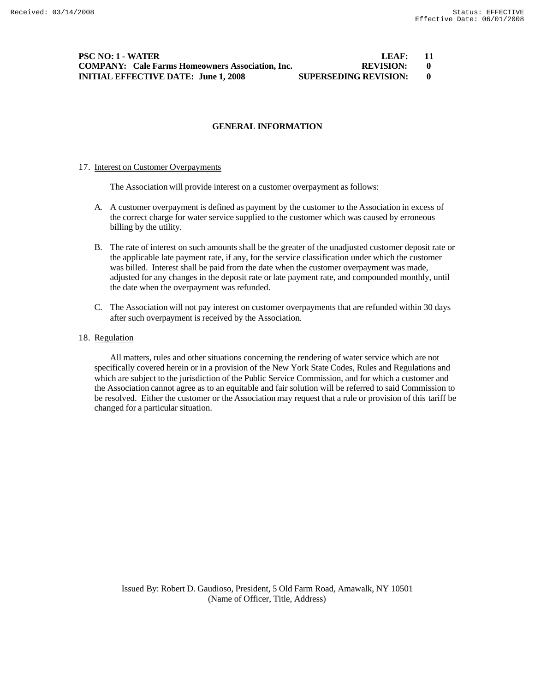**PSC NO: 1 - WATER LEAF:** 11 **COMPANY: Cale Farms Homeowners Association, Inc. REVISION: 0 INITIAL EFFECTIVE DATE: June 1, 2008 SUPERSEDING REVISION: 0**

# **GENERAL INFORMATION**

#### 17. Interest on Customer Overpayments

The Association will provide interest on a customer overpayment as follows:

- A. A customer overpayment is defined as payment by the customer to the Association in excess of the correct charge for water service supplied to the customer which was caused by erroneous billing by the utility.
- B. The rate of interest on such amounts shall be the greater of the unadjusted customer deposit rate or the applicable late payment rate, if any, for the service classification under which the customer was billed. Interest shall be paid from the date when the customer overpayment was made, adjusted for any changes in the deposit rate or late payment rate, and compounded monthly, until the date when the overpayment was refunded.
- C. The Association will not pay interest on customer overpayments that are refunded within 30 days after such overpayment is received by the Association.

# 18. Regulation

All matters, rules and other situations concerning the rendering of water service which are not specifically covered herein or in a provision of the New York State Codes, Rules and Regulations and which are subject to the jurisdiction of the Public Service Commission, and for which a customer and the Association cannot agree as to an equitable and fair solution will be referred to said Commission to be resolved. Either the customer or the Association may request that a rule or provision of this tariff be changed for a particular situation.